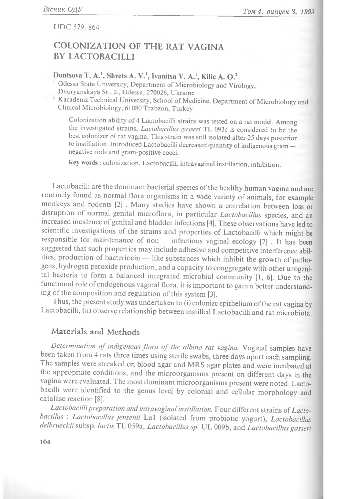UDC 579.864

# COLONIZATION OF THE RAT VAGINA BY LACTOBACILLI

Dontsova T. A.<sup>1</sup>, Shvets A. V.<sup>1</sup>, Ivanitsa V. A.<sup>1</sup>, Kilic A. O.<sup>2</sup>

<sup>1</sup> Odessa State University, Department of Microbiology and Virology, Dvoryanskaya St., 2., Odessa, 270026, Ukraine

<sup>1</sup> Karadeniz Technical University, School of Medicine, Department of Microbiology and Clinical Microbiology, 61080 Trabzon, Turkey

Colonization ability of 4 Lactobacilli strains was tested on a rat model. Among the investigated strains, *Lactobacillus gasseri* TL 093c is considered to be the best colonizer of rat vagina. This strain was still isolated after 25 days posterior to instillation. Introduced Lactobacilli decreased quantity of indigenous gram negative rods and gram -positive cocci.

Key **words** : colonization, Lactobacilli, intravaginal instillation, inhibition.

Lactobacilli are the dominant bacterial species of the healthy human vagina and are routinely found as normal flora organisms in a wide variety of animals, for example monkeys and rodents [2] . Many studies have shown a correlation between loss or disruption of normal genital microflora, in particular *Lactobacillus* species, and an increased incidence of genital and bladder infections [4]. These observations have led to scientific investigations of the strains and properties of Lactobacilli which might be responsible for maintenance of non — infectious vaginal ecology  $[7]$  . It has been suggested that such properties may include adhesive and competitive interference abilities, production of bacteriocin — like substances which inhibit the growth of pathogens, hydrogen peroxide production, and a capacity to coaggregate with other urogenital bacteria to form a balanced integrated microbial community [1, 6]. Due to the functional role of endogenous vaginal flora, it is important to gain a better understanding of the composition and regulation of this system [3].

Thus, the present study was undertaken to (i) colonize epithelium of the rat vagina by Lactobacilli, (ii) observe relationship between instilled Lactobacilli and rat microbiota.

### Materials and Methods

Determination of indigenous flora of the albino rat vagina. Vaginal samples have been taken from 4 rats three times using sterile swabs, three days apart each sampling. The samples were streaked on blood agar and MRS agar plates and were incubated at the appropriate conditions, and the microorganisms present on different days in the vagina were evaluated. The most dominant microorganisms present were noted. Lactobacilli were identified to the genus level by colonial and cellular morphology and catalase reaction [8].

Lactobacilli preparation and intravaginal instillation. Four different strains of Lacto*bacillus* : *Lactobacillus jensenii* La1 (isolated from probiotic yogurt), *Lactobacillus delbrueckii* subsp. *lactis* TL 059a, *Lactobacillus sp.* U L 009b, and *Lactobacillus gasseri*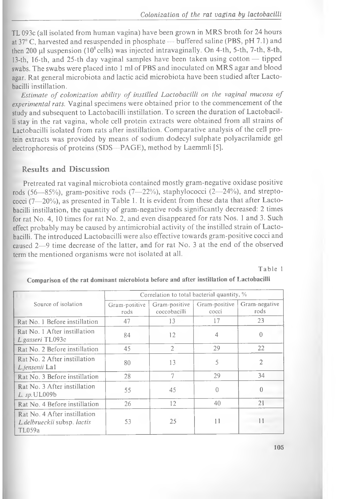TL 093c (all isolated from human vagina) have been grown in MRS broth for 24 hours at 37° C, harvested and resuspended in phosphate — buffered saline (PBS, pH 7.1) and then 200  $\mu$ l suspension (10<sup>8</sup> cells) was injected intravaginally. On 4-th, 5-th, 7-th, 8-th, 13-th, 16-th, and 25-th day vaginal samples have been taken using cotton  $-$  tipped swabs. The swabs were placed into 1 ml of PBS and inoculated on MRS agar and blood agar. Rat general microbiota and lactic acid microbiota have been studied after Lactobacilli instillation.

*Estimate of colonization ability of instilled Lactobacilli on the vaginal mucosa of experimental rats.* Vaginal specimens were obtained prior to the commencement of the study and subsequent to Lactobacilli instillation. To screen the duration of Lactobacilli stay in the rat vagina, whole cell protein extracts were obtained from all strains of Lactobacilli isolated from rats after instillation. Comparative analysis of the cell protein extracts was provided by means of sodium dodecyl sulphate polyacrilamide gel electrophoresis of proteins (SDS—PAGE), method by Laemmli [5].

### Results and Discussion

Pretreated rat vaginal microbiota contained mostly gram-negative oxidase positive rods (56— 85%), gram -positive rods (7— 22%), staphylococci (2— 24%), and strepto $cocci$  (7—20%), as presented in Table 1. It is evident from these data that after Lactobacilli instillation, the quantity of gram-negative rods significantly decreased: 2 times for rat No. 4, 10 times for rat No. 2, and even disappeared for rats Nos. 1 and 3. Such effect probably may be caused by antimicrobial activity of the instilled strain of Lactobacilli. The introduced Lactobacilli were also effective tow ards gram -positive cocci and caused 2-9 time decrease of the latter, and for rat No. 3 at the end of the observed term the mentioned organisms were not isolated at all.

Table 1

|                                                                       | Correlation to total bacterial quantity, % |                               |                        |                       |
|-----------------------------------------------------------------------|--------------------------------------------|-------------------------------|------------------------|-----------------------|
| Source of isolation                                                   | Gram-positive<br>rods                      | Gram-positive<br>coccobacilli | Gram-positive<br>cocci | Gram-negative<br>rods |
| Rat No. 1 Before instillation                                         | 47                                         | 13                            | 17                     | 23                    |
| Rat No. 1 After instillation<br>L.gasseri TL093c                      | 84                                         | 12                            | 4                      | $\Omega$              |
| Rat No. 2 Before instillation                                         | 45                                         | $\overline{2}$                | 29                     | 22                    |
| Rat No. 2 After instillation<br>L.jensenii La1                        | 80                                         | 13                            | 5                      |                       |
| Rat No. 3 Before instillation                                         | 28                                         | 7                             | 29                     | 34                    |
| Rat No. 3 After instillation<br>L. sp. UL009b                         | 55                                         | 45                            | 0                      | 0                     |
| Rat No. 4 Before instillation                                         | 26                                         | 12                            | 40                     | 21                    |
| Rat No. 4 After instillation<br>L.delbrueckii subsp. lactis<br>TL059a | 53                                         | 25                            |                        |                       |

**Comparison of the rat dominant microbiota before and after instillation of Lactobacilli**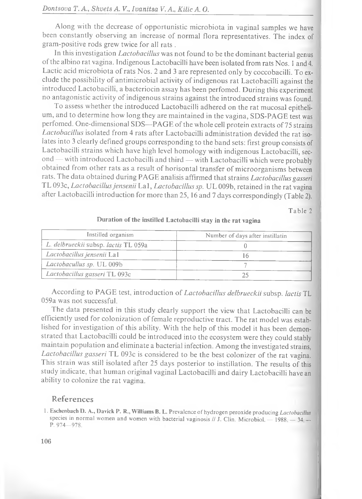Along with the decrease of opportunistic microbiota in vaginal samples we have been constantly observing an increase of normal flora representatives. The index of gram -positive rods grew twice for all rats .

In this investigation *Lactobacillus* was not found to be the dominant bacterial genus of the albino rat vagina. Indigenous Lactobacilli have been isolated from rats Nos. 1 and 4. Lactic acid microbiota of rats Nos. 2 and 3 are represented only by coccobacilli. To exclude the possibility of antimicrobial activity of indigenous rat Lactobacilli against the introduced Lactobacilli, a bacteriocin assay has been perfomed. During this experiment no antagonistic activity of indigenous strains against the introduced strains was found.

To assess whether the introduced Lactobacilli adhered on the rat mucosal epithelium, and to determine how long they are maintained in the vagina, SDS-PAGE test was perfomed. One-dimensional SDS—PAGE of the whole cell protein extracts of 75 strains Lactobacillus isolated from 4 rats after Lactobacilli administration devided the rat isolates into 3 clearly defined groups corresponding to the band sets: first group consists of Lactobacilli strains which have high level homology with indigenous Lactobacilli, second — with introduced Lactobacilli and third — with Lactobacilli which were probably obtained from other rats as a result of horisontal transfer of microorganisms between rats. The data obtained during PAGE analisis affirmed that strains *Lactobacillus gasseri* TL 093c, *Lactobacillus jensenii* La1, *Lactobacillus sp*. UL 009b, retained in the rat vagina after Lactobacilli introduction for more than 25,16 and 7 days correspondingly (Table 2).

Table 2

| Instilled organism                   | Number of days after instillatin |  |  |
|--------------------------------------|----------------------------------|--|--|
| L. delbrueckii subsp. lactis TL 059a |                                  |  |  |
| Lactobacillus jensenii La1           |                                  |  |  |
| Lactobacullus sp. UL 009b            |                                  |  |  |
| Lactobacillus gasseri TL 093c        |                                  |  |  |

**Duration of the instilled Lactobacilli stay in the rat vagina**

According to PAGE test, introduction of *Lactobacillus delbrueckii* subsp. *lactis* TL 059a was not successful.

The data presented in this study clearly support the view that Lactobacilli can be efficiently used for colonization of female reproductive tract. The rat model was established for investigation of this ability. With the help of this model it has been demonstrated that Lactobacilli could be introduced into the ecosystem were they could stably maintain population and eliminate a bacterial infection. Among the investigated strains, Lactobacillus gasseri TL 093c is considered to be the best colonizer of the rat vagina. This strain was still isolated after 25 days posterior to instillation. The results of this study indicate, that human original vaginal Lactobacilli and dairy Lactobacilli have an ability to colonize the rat vagina.

### References

**1. Eschenbach D.** A., **Davick P. R., Williams** B. **L.** Prevalence of hydrogen peroxide producing *Lactobacillus* species in normal women and women with bacterial vaginosis  $// J. Clin. Microbiol. = 1988. = 34$ P. 974—978.